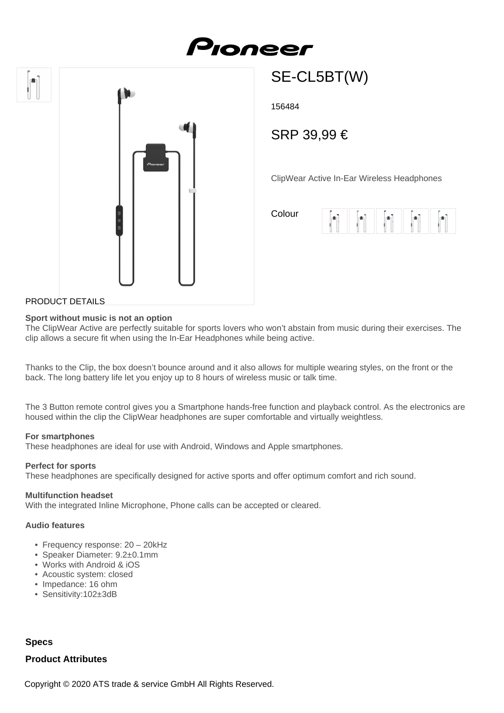# Pioneer





## SE-CL5BT(W)

156484

### SRP 39,99 €

ClipWear Active In-Ear Wireless Headphones

Colour



#### PRODUCT DETAILS

#### **Sport without music is not an option**

The ClipWear Active are perfectly suitable for sports lovers who won't abstain from music during their exercises. The clip allows a secure fit when using the In-Ear Headphones while being active.

Thanks to the Clip, the box doesn't bounce around and it also allows for multiple wearing styles, on the front or the back. The long battery life let you enjoy up to 8 hours of wireless music or talk time.

The 3 Button remote control gives you a Smartphone hands-free function and playback control. As the electronics are housed within the clip the ClipWear headphones are super comfortable and virtually weightless.

#### **For smartphones**

These headphones are ideal for use with Android, Windows and Apple smartphones.

#### **Perfect for sports**

These headphones are specifically designed for active sports and offer optimum comfort and rich sound.

#### **Multifunction headset**

With the integrated Inline Microphone, Phone calls can be accepted or cleared.

#### **Audio features**

- Frequency response: 20 20kHz
- Speaker Diameter: 9.2±0.1mm
- Works with Android & iOS
- Acoustic system: closed
- Impedance: 16 ohm
- Sensitivity:102±3dB

#### **Specs**

#### **Product Attributes**

Copyright © 2020 ATS trade & service GmbH All Rights Reserved.